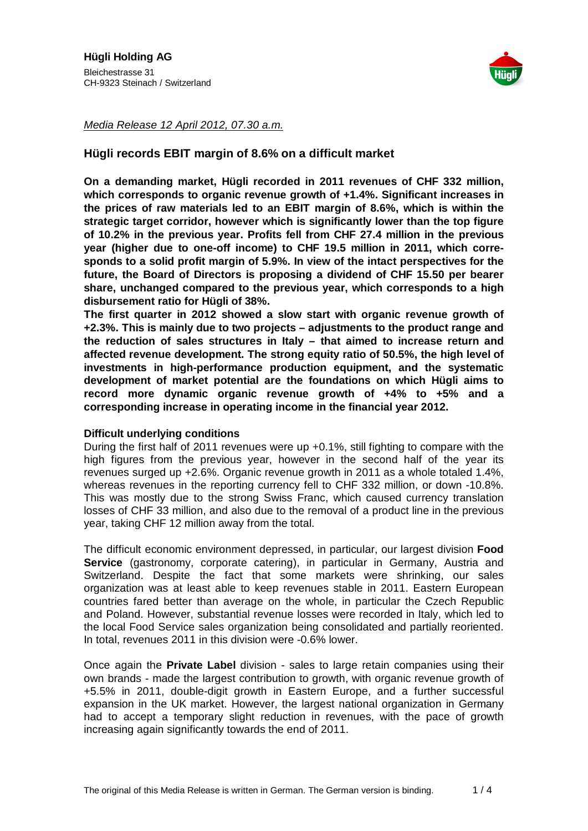

Media Release 12 April 2012, 07.30 a.m.

# **Hügli records EBIT margin of 8.6% on a difficult market**

**On a demanding market, Hügli recorded in 2011 revenues of CHF 332 million, which corresponds to organic revenue growth of +1.4%. Significant increases in the prices of raw materials led to an EBIT margin of 8.6%, which is within the strategic target corridor, however which is significantly lower than the top figure of 10.2% in the previous year. Profits fell from CHF 27.4 million in the previous year (higher due to one-off income) to CHF 19.5 million in 2011, which corresponds to a solid profit margin of 5.9%. In view of the intact perspectives for the future, the Board of Directors is proposing a dividend of CHF 15.50 per bearer share, unchanged compared to the previous year, which corresponds to a high disbursement ratio for Hügli of 38%.** 

**The first quarter in 2012 showed a slow start with organic revenue growth of +2.3%. This is mainly due to two projects – adjustments to the product range and the reduction of sales structures in Italy – that aimed to increase return and affected revenue development. The strong equity ratio of 50.5%, the high level of investments in high-performance production equipment, and the systematic development of market potential are the foundations on which Hügli aims to record more dynamic organic revenue growth of +4% to +5% and a corresponding increase in operating income in the financial year 2012.** 

### **Difficult underlying conditions**

During the first half of 2011 revenues were up +0.1%, still fighting to compare with the high figures from the previous year, however in the second half of the year its revenues surged up +2.6%. Organic revenue growth in 2011 as a whole totaled 1.4%, whereas revenues in the reporting currency fell to CHF 332 million, or down -10.8%. This was mostly due to the strong Swiss Franc, which caused currency translation losses of CHF 33 million, and also due to the removal of a product line in the previous year, taking CHF 12 million away from the total.

The difficult economic environment depressed, in particular, our largest division **Food Service** (gastronomy, corporate catering), in particular in Germany, Austria and Switzerland. Despite the fact that some markets were shrinking, our sales organization was at least able to keep revenues stable in 2011. Eastern European countries fared better than average on the whole, in particular the Czech Republic and Poland. However, substantial revenue losses were recorded in Italy, which led to the local Food Service sales organization being consolidated and partially reoriented. In total, revenues 2011 in this division were -0.6% lower.

Once again the **Private Label** division - sales to large retain companies using their own brands - made the largest contribution to growth, with organic revenue growth of +5.5% in 2011, double-digit growth in Eastern Europe, and a further successful expansion in the UK market. However, the largest national organization in Germany had to accept a temporary slight reduction in revenues, with the pace of growth increasing again significantly towards the end of 2011.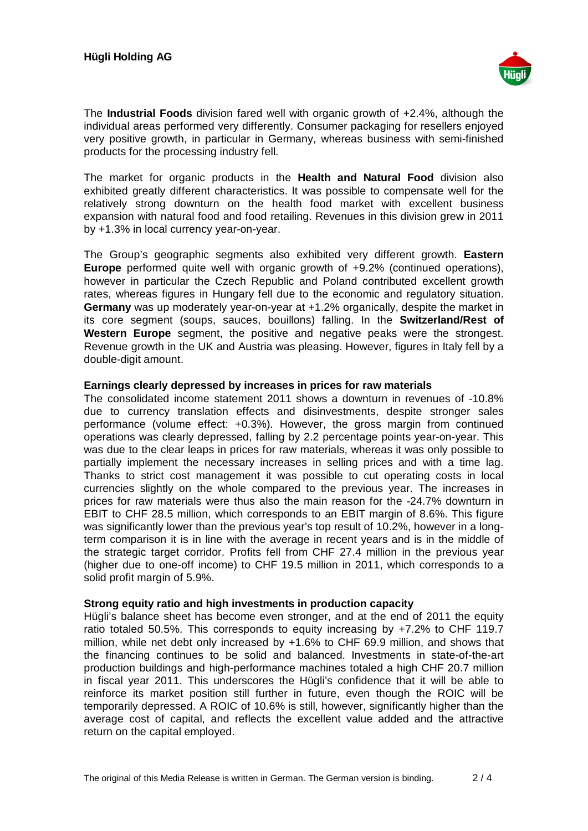

The **Industrial Foods** division fared well with organic growth of +2.4%, although the individual areas performed very differently. Consumer packaging for resellers enjoyed very positive growth, in particular in Germany, whereas business with semi-finished products for the processing industry fell.

The market for organic products in the **Health and Natural Food** division also exhibited greatly different characteristics. It was possible to compensate well for the relatively strong downturn on the health food market with excellent business expansion with natural food and food retailing. Revenues in this division grew in 2011 by +1.3% in local currency year-on-year.

The Group's geographic segments also exhibited very different growth. **Eastern Europe** performed quite well with organic growth of +9.2% (continued operations), however in particular the Czech Republic and Poland contributed excellent growth rates, whereas figures in Hungary fell due to the economic and regulatory situation. **Germany** was up moderately year-on-year at +1.2% organically, despite the market in its core segment (soups, sauces, bouillons) falling. In the **Switzerland/Rest of Western Europe** segment, the positive and negative peaks were the strongest. Revenue growth in the UK and Austria was pleasing. However, figures in Italy fell by a double-digit amount.

## **Earnings clearly depressed by increases in prices for raw materials**

The consolidated income statement 2011 shows a downturn in revenues of -10.8% due to currency translation effects and disinvestments, despite stronger sales performance (volume effect: +0.3%). However, the gross margin from continued operations was clearly depressed, falling by 2.2 percentage points year-on-year. This was due to the clear leaps in prices for raw materials, whereas it was only possible to partially implement the necessary increases in selling prices and with a time lag. Thanks to strict cost management it was possible to cut operating costs in local currencies slightly on the whole compared to the previous year. The increases in prices for raw materials were thus also the main reason for the -24.7% downturn in EBIT to CHF 28.5 million, which corresponds to an EBIT margin of 8.6%. This figure was significantly lower than the previous year's top result of 10.2%, however in a longterm comparison it is in line with the average in recent years and is in the middle of the strategic target corridor. Profits fell from CHF 27.4 million in the previous year (higher due to one-off income) to CHF 19.5 million in 2011, which corresponds to a solid profit margin of 5.9%.

### **Strong equity ratio and high investments in production capacity**

Hügli's balance sheet has become even stronger, and at the end of 2011 the equity ratio totaled 50.5%. This corresponds to equity increasing by +7.2% to CHF 119.7 million, while net debt only increased by +1.6% to CHF 69.9 million, and shows that the financing continues to be solid and balanced. Investments in state-of-the-art production buildings and high-performance machines totaled a high CHF 20.7 million in fiscal year 2011. This underscores the Hügli's confidence that it will be able to reinforce its market position still further in future, even though the ROIC will be temporarily depressed. A ROIC of 10.6% is still, however, significantly higher than the average cost of capital, and reflects the excellent value added and the attractive return on the capital employed.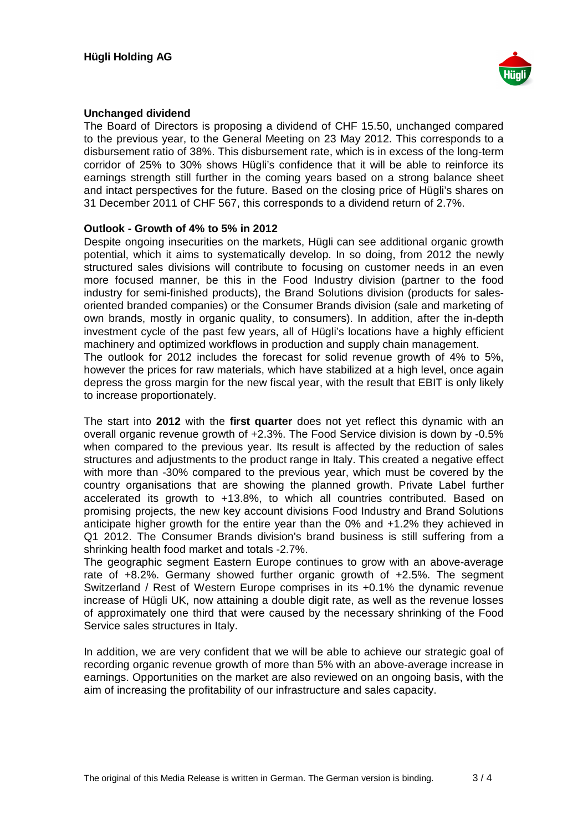

## **Unchanged dividend**

The Board of Directors is proposing a dividend of CHF 15.50, unchanged compared to the previous year, to the General Meeting on 23 May 2012. This corresponds to a disbursement ratio of 38%. This disbursement rate, which is in excess of the long-term corridor of 25% to 30% shows Hügli's confidence that it will be able to reinforce its earnings strength still further in the coming years based on a strong balance sheet and intact perspectives for the future. Based on the closing price of Hügli's shares on 31 December 2011 of CHF 567, this corresponds to a dividend return of 2.7%.

## **Outlook - Growth of 4% to 5% in 2012**

Despite ongoing insecurities on the markets, Hügli can see additional organic growth potential, which it aims to systematically develop. In so doing, from 2012 the newly structured sales divisions will contribute to focusing on customer needs in an even more focused manner, be this in the Food Industry division (partner to the food industry for semi-finished products), the Brand Solutions division (products for salesoriented branded companies) or the Consumer Brands division (sale and marketing of own brands, mostly in organic quality, to consumers). In addition, after the in-depth investment cycle of the past few years, all of Hügli's locations have a highly efficient machinery and optimized workflows in production and supply chain management. The outlook for 2012 includes the forecast for solid revenue growth of 4% to 5%, however the prices for raw materials, which have stabilized at a high level, once again depress the gross margin for the new fiscal year, with the result that EBIT is only likely to increase proportionately.

The start into **2012** with the **first quarter** does not yet reflect this dynamic with an overall organic revenue growth of +2.3%. The Food Service division is down by -0.5% when compared to the previous year. Its result is affected by the reduction of sales structures and adjustments to the product range in Italy. This created a negative effect with more than -30% compared to the previous year, which must be covered by the country organisations that are showing the planned growth. Private Label further accelerated its growth to +13.8%, to which all countries contributed. Based on promising projects, the new key account divisions Food Industry and Brand Solutions anticipate higher growth for the entire year than the 0% and +1.2% they achieved in Q1 2012. The Consumer Brands division's brand business is still suffering from a shrinking health food market and totals -2.7%.

The geographic segment Eastern Europe continues to grow with an above-average rate of +8.2%. Germany showed further organic growth of +2.5%. The segment Switzerland / Rest of Western Europe comprises in its +0.1% the dynamic revenue increase of Hügli UK, now attaining a double digit rate, as well as the revenue losses of approximately one third that were caused by the necessary shrinking of the Food Service sales structures in Italy.

In addition, we are very confident that we will be able to achieve our strategic goal of recording organic revenue growth of more than 5% with an above-average increase in earnings. Opportunities on the market are also reviewed on an ongoing basis, with the aim of increasing the profitability of our infrastructure and sales capacity.